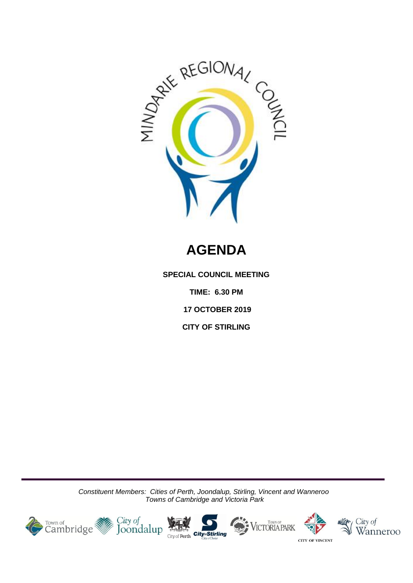

# **AGENDA**

**SPECIAL COUNCIL MEETING**

**TIME: 6.30 PM**

**17 OCTOBER 2019**

**CITY OF STIRLING**

*Constituent Members: Cities of Perth, Joondalup, Stirling, Vincent and Wanneroo Towns of Cambridge and Victoria Park*

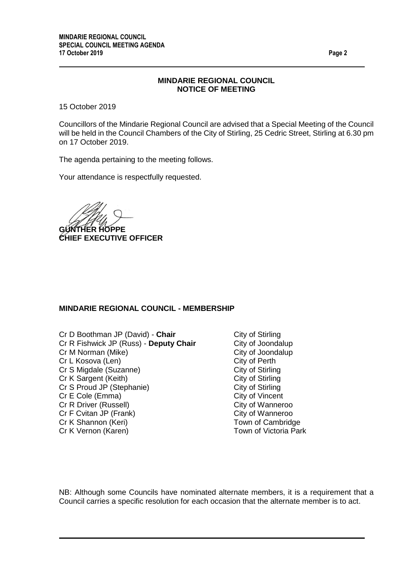#### **MINDARIE REGIONAL COUNCIL NOTICE OF MEETING**

15 October 2019

Councillors of the Mindarie Regional Council are advised that a Special Meeting of the Council will be held in the Council Chambers of the City of Stirling, 25 Cedric Street, Stirling at 6.30 pm on 17 October 2019.

The agenda pertaining to the meeting follows.

Your attendance is respectfully requested.

**GÜNTHER HOPPE CHIEF EXECUTIVE OFFICER**

#### **MINDARIE REGIONAL COUNCIL - MEMBERSHIP**

Cr D Boothman JP (David) - **Chair** City of Stirling Cr R Fishwick JP (Russ) - **Deputy Chair** City of Joondalup Cr M Norman (Mike)<br>
Cr L Kosova (Len)<br>
Cr L Kosova (Len) Cr L Kosova (Len) Cr S Migdale (Suzanne) City of Stirling Cr K Sargent (Keith) City of Stirling Cr S Proud JP (Stephanie) City of Stirling Cr E Cole (Emma) City of Vincent Cr R Driver (Russell) City of Wanneroo Cr F Cvitan JP (Frank) City of Wanneroo Cr K Shannon (Keri) Town of Cambridge Cr K Vernon (Karen) Town of Victoria Park

NB: Although some Councils have nominated alternate members, it is a requirement that a Council carries a specific resolution for each occasion that the alternate member is to act.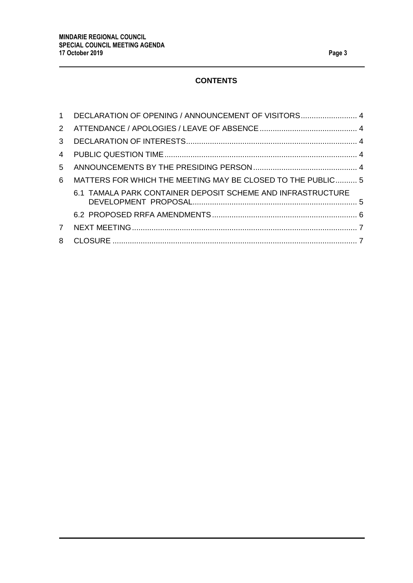## **CONTENTS**

|               | 1 DECLARATION OF OPENING / ANNOUNCEMENT OF VISITORS 4       |  |
|---------------|-------------------------------------------------------------|--|
|               |                                                             |  |
| $\mathcal{S}$ |                                                             |  |
|               |                                                             |  |
| $5 -$         |                                                             |  |
| 6             | MATTERS FOR WHICH THE MEETING MAY BE CLOSED TO THE PUBLIC 5 |  |
|               | 6.1 TAMALA PARK CONTAINER DEPOSIT SCHEME AND INFRASTRUCTURE |  |
|               |                                                             |  |
| <b>7</b>      |                                                             |  |
| 8             |                                                             |  |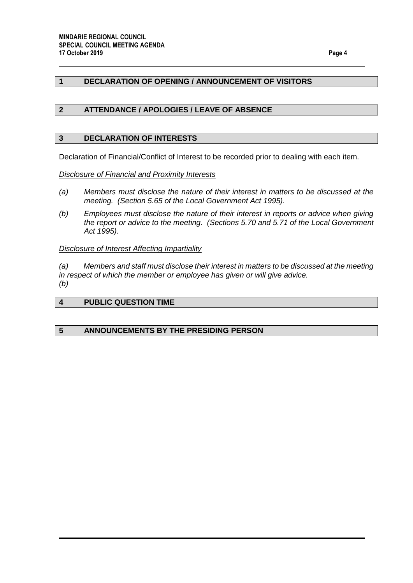### <span id="page-3-0"></span>**1 DECLARATION OF OPENING / ANNOUNCEMENT OF VISITORS**

### <span id="page-3-1"></span>**2 ATTENDANCE / APOLOGIES / LEAVE OF ABSENCE**

#### <span id="page-3-2"></span>**3 DECLARATION OF INTERESTS**

Declaration of Financial/Conflict of Interest to be recorded prior to dealing with each item.

*Disclosure of Financial and Proximity Interests*

- *(a) Members must disclose the nature of their interest in matters to be discussed at the meeting. (Section 5.65 of the Local Government Act 1995).*
- *(b) Employees must disclose the nature of their interest in reports or advice when giving the report or advice to the meeting. (Sections 5.70 and 5.71 of the Local Government Act 1995).*

#### *Disclosure of Interest Affecting Impartiality*

*(a) Members and staff must disclose their interest in matters to be discussed at the meeting in respect of which the member or employee has given or will give advice. (b)*

#### <span id="page-3-3"></span>**4 PUBLIC QUESTION TIME**

#### <span id="page-3-4"></span>**5 ANNOUNCEMENTS BY THE PRESIDING PERSON**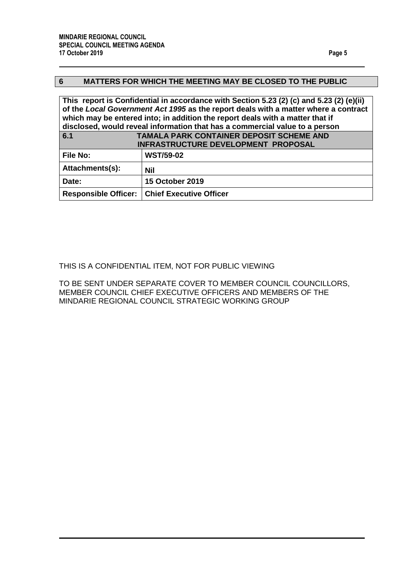## <span id="page-4-0"></span>**6 MATTERS FOR WHICH THE MEETING MAY BE CLOSED TO THE PUBLIC**

**This report is Confidential in accordance with Section 5.23 (2) (c) and 5.23 (2) (e)(ii) of the** *Local Government Act 1995* **as the report deals with a matter where a contract which may be entered into; in addition the report deals with a matter that if disclosed, would reveal information that has a commercial value to a person**

<span id="page-4-1"></span>

| 6.1             | <b>TAMALA PARK CONTAINER DEPOSIT SCHEME AND</b><br>INFRASTRUCTURE DEVELOPMENT PROPOSAL |
|-----------------|----------------------------------------------------------------------------------------|
| <b>File No:</b> | <b>WST/59-02</b>                                                                       |
| Attachments(s): | <b>Nil</b>                                                                             |
| Date:           | <b>15 October 2019</b>                                                                 |
|                 | <b>Responsible Officer:   Chief Executive Officer</b>                                  |

#### THIS IS A CONFIDENTIAL ITEM, NOT FOR PUBLIC VIEWING

TO BE SENT UNDER SEPARATE COVER TO MEMBER COUNCIL COUNCILLORS, MEMBER COUNCIL CHIEF EXECUTIVE OFFICERS AND MEMBERS OF THE MINDARIE REGIONAL COUNCIL STRATEGIC WORKING GROUP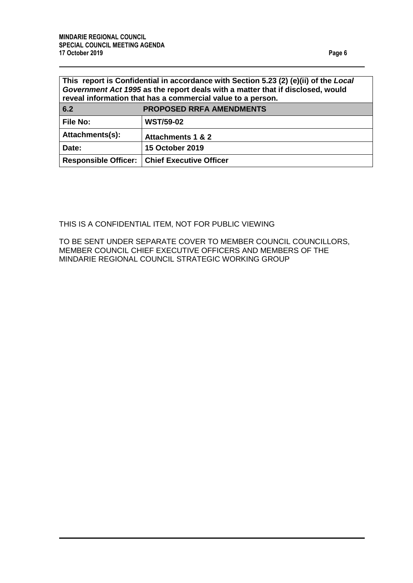<span id="page-5-0"></span>

| This report is Confidential in accordance with Section 5.23 (2) (e)(ii) of the Local<br>Government Act 1995 as the report deals with a matter that if disclosed, would<br>reveal information that has a commercial value to a person. |                                                |  |  |  |
|---------------------------------------------------------------------------------------------------------------------------------------------------------------------------------------------------------------------------------------|------------------------------------------------|--|--|--|
| 6.2                                                                                                                                                                                                                                   | <b>PROPOSED RRFA AMENDMENTS</b>                |  |  |  |
| <b>File No:</b>                                                                                                                                                                                                                       | <b>WST/59-02</b>                               |  |  |  |
| Attachments(s):                                                                                                                                                                                                                       | Attachments 1 & 2                              |  |  |  |
| Date:                                                                                                                                                                                                                                 | <b>15 October 2019</b>                         |  |  |  |
|                                                                                                                                                                                                                                       | Responsible Officer:   Chief Executive Officer |  |  |  |

## THIS IS A CONFIDENTIAL ITEM, NOT FOR PUBLIC VIEWING

TO BE SENT UNDER SEPARATE COVER TO MEMBER COUNCIL COUNCILLORS, MEMBER COUNCIL CHIEF EXECUTIVE OFFICERS AND MEMBERS OF THE MINDARIE REGIONAL COUNCIL STRATEGIC WORKING GROUP